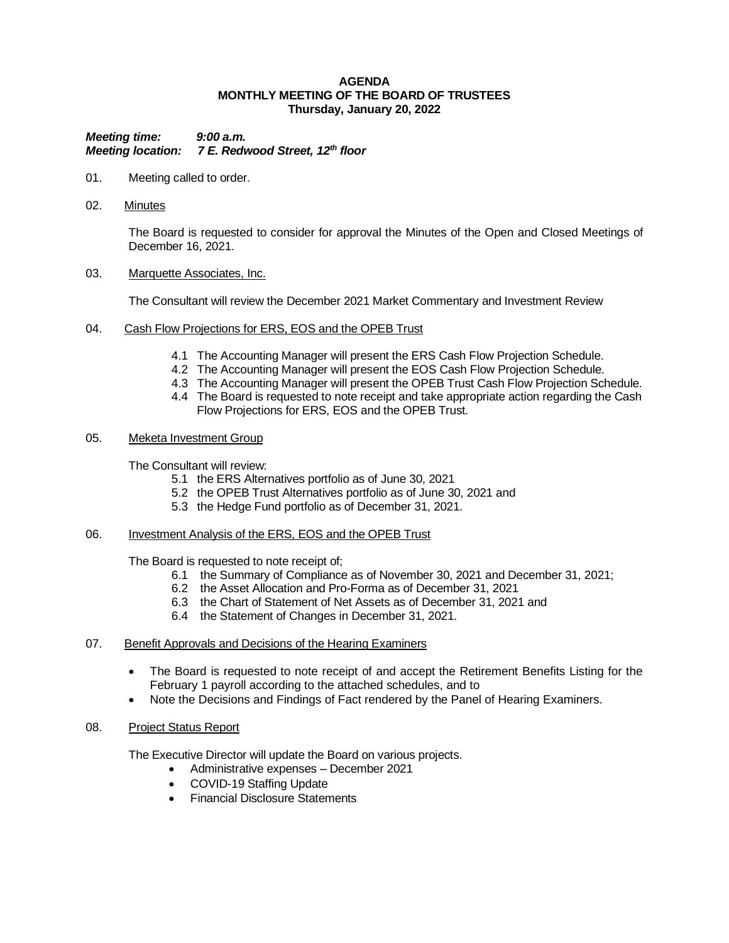### **AGENDA MONTHLY MEETING OF THE BOARD OF TRUSTEES Thursday, January 20, 2022**

*Meeting time: 9:00 a.m. Meeting location: 7 E. Redwood Street, 12th floor*

- 01. Meeting called to order.
- 02. Minutes

The Board is requested to consider for approval the Minutes of the Open and Closed Meetings of December 16, 2021.

03. Marquette Associates, Inc.

The Consultant will review the December 2021 Market Commentary and Investment Review

- 04. Cash Flow Projections for ERS, EOS and the OPEB Trust
	- 4.1 The Accounting Manager will present the ERS Cash Flow Projection Schedule.
	- 4.2 The Accounting Manager will present the EOS Cash Flow Projection Schedule.
	- 4.3 The Accounting Manager will present the OPEB Trust Cash Flow Projection Schedule.
	- 4.4 The Board is requested to note receipt and take appropriate action regarding the Cash Flow Projections for ERS, EOS and the OPEB Trust.

## 05. Meketa Investment Group

The Consultant will review:

- 5.1 the ERS Alternatives portfolio as of June 30, 2021
- 5.2 the OPEB Trust Alternatives portfolio as of June 30, 2021 and
- 5.3 the Hedge Fund portfolio as of December 31, 2021.

## 06. Investment Analysis of the ERS, EOS and the OPEB Trust

The Board is requested to note receipt of;

- 6.1 the Summary of Compliance as of November 30, 2021 and December 31, 2021;
- 6.2 the Asset Allocation and Pro-Forma as of December 31, 2021
- 6.3 the Chart of Statement of Net Assets as of December 31, 2021 and
- 6.4 the Statement of Changes in December 31, 2021.

## 07. Benefit Approvals and Decisions of the Hearing Examiners

- The Board is requested to note receipt of and accept the Retirement Benefits Listing for the February 1 payroll according to the attached schedules, and to
- Note the Decisions and Findings of Fact rendered by the Panel of Hearing Examiners.

## 08. Project Status Report

The Executive Director will update the Board on various projects.

- Administrative expenses December 2021
- COVID-19 Staffing Update
- Financial Disclosure Statements